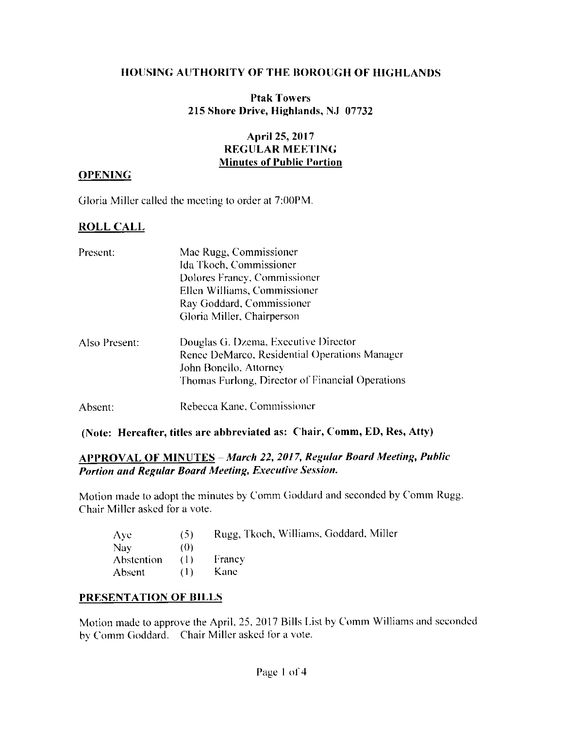### **HOUSING AUTHORITY OF THE BOROUGH OF HIGHLANDS**

### **Ptak Towers** 215 Shore Drive, Highlands, NJ 07732

# April 25, 2017 **REGULAR MEETING Minutes of Public Portion**

#### **OPENING**

Gloria Miller called the meeting to order at 7:00PM.

# **ROLL CALL**

| Present:      | Mae Rugg, Commissioner<br>Ida Tkoch, Commissioner<br>Dolores Francy, Commissioner<br>Ellen Williams, Commissioner<br>Ray Goddard, Commissioner<br>Gloria Miller, Chairperson |  |  |
|---------------|------------------------------------------------------------------------------------------------------------------------------------------------------------------------------|--|--|
| Also Present: | Douglas G. Dzema, Executive Director<br>Renee DeMarco, Residential Operations Manager<br>John Bonello, Attorney<br>Thomas Furlong, Director of Financial Operations          |  |  |
| Absent:       | Rebecca Kane, Commissioner                                                                                                                                                   |  |  |

## (Note: Hereafter, titles are abbreviated as: Chair, Comm, ED, Res, Atty)

## **APPROVAL OF MINUTES - March 22, 2017, Regular Board Meeting, Public** Portion and Regular Board Meeting, Executive Session.

Motion made to adopt the minutes by Comm Goddard and seconded by Comm Rugg. Chair Miller asked for a vote.

| Aye.           | (5) | Rugg, Tkoch, Williams, Goddard, Miller |
|----------------|-----|----------------------------------------|
| Nav.           | (O) |                                        |
| Abstention (1) |     | Francy                                 |
| Absent         | (1) | Kane                                   |

### PRESENTATION OF BILLS

Motion made to approve the April, 25, 2017 Bills List by Comm Williams and seconded by Comm Goddard. Chair Miller asked for a vote.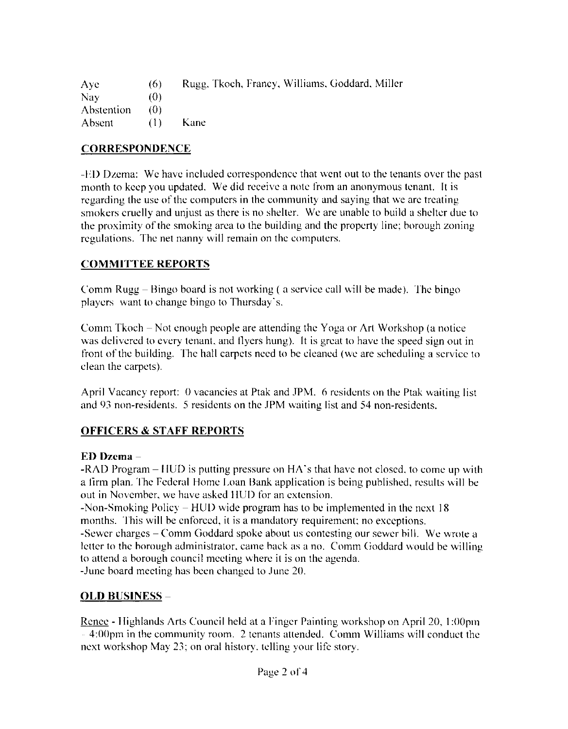| Aye               | (6)  | Rugg, Tkoch, Francy, Williams, Goddard, Miller |
|-------------------|------|------------------------------------------------|
| Nav.              | (()) |                                                |
| <b>Abstention</b> | 70)  |                                                |
| Absent            | (1)  | Kane                                           |

# **CORRESPONDENCE**

-ED Dzema: We have included correspondence that went out to the tenants over the past month to keep you updated. We did receive a note from an anonymous tenant. It is regarding the use of the computers in the community and saying that we are treating smokers cruelly and unjust as there is no shelter. We are unable to build a shelter due to the proximity of the smoking area to the building and the property line; borough zoning regulations. The net nanny will remain on the computers.

## **COMMITTEE REPORTS**

Comm Rugg – Bingo board is not working (a service call will be made). The bingo players want to change bingo to Thursday's.

Comm Tkoch – Not enough people are attending the Yoga or Art Workshop (a notice was delivered to every tenant, and flyers hung). It is great to have the speed sign out in front of the building. The hall carpets need to be cleaned (we are scheduling a service to clean the carpets).

April Vacancy report: 0 vacancies at Ptak and JPM. 6 residents on the Ptak waiting list and 93 non-residents. 5 residents on the JPM waiting list and 54 non-residents.

# **OFFICERS & STAFF REPORTS**

### ED Dzema-

-RAD Program – HUD is putting pressure on HA's that have not closed, to come up with a firm plan. The Federal Home Loan Bank application is being published, results will be out in November, we have asked HUD for an extension.

-Non-Smoking Policy – HUD wide program has to be implemented in the next  $18$ months. This will be enforced, it is a mandatory requirement; no exceptions. -Sewer charges – Comm Goddard spoke about us contesting our sewer bill. We wrote a letter to the borough administrator, came back as a no. Comm Goddard would be willing to attend a borough council meeting where it is on the agenda. -June board meeting has been changed to June 20.

# <u>OLD BUSINESS</u> –

Renee - Highlands Arts Council held at a Finger Painting workshop on April 20, 1:00pm - 4:00pm in the community room. 2 tenants attended. Comm Williams will conduct the next workshop May 23; on oral history, telling your life story.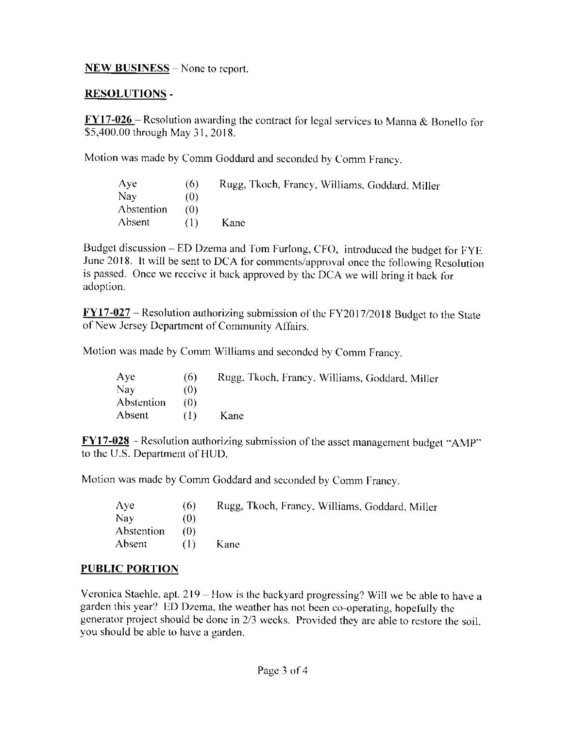### $NEW$  BUSINESS – None to report.

## **RESOLUTIONS -**

 $FY17-026$  - Resolution awarding the contract for legal services to Manna & Bonello for</u> \$5,400.00 through May 31, 2018.

Motion was made by Comm Goddard and seconded by Comm Francy.

| Aye        | (6)     | Rugg, Tkoch, Francy, Williams, Goddard, Miller |
|------------|---------|------------------------------------------------|
| Nay        | (0)     |                                                |
| Abstention | 70)     |                                                |
| Absent     | ( I ) - | Kane                                           |

Budget discussion – ED Dzema and Tom Furlong, CFO, introduced the budget for FYE June 2018. It will be sent to DCA for comments/approval once the following Resolution is passed. Once we receive it back approved by the DCA we will bring it back for adoption.

 $\text{FY17-027}$  – Resolution authorizing submission of the FY2017/2018 Budget to the State of New Jersey Department of Community Affairs.

Motion was made by Comm Williams and seconded by Comm Francy.

| Aye        | (6)     | Rugg, Tkoch, Francy, Williams, Goddard, Miller |
|------------|---------|------------------------------------------------|
| Nay        | (0)     |                                                |
| Abstention | (0)     |                                                |
| Absent     | ( I ) - | Kane                                           |

 $\frac{FY17-028}{FY}$  - Resolution authorizing submission of the asset management budget "AMP" to the U.S. Department of HUD.

Motion was made by Comm Goddard and seconded by Comm Francy.

| Aye        | (6) | Rugg, Tkoch, Francy, Williams, Goddard, Miller |
|------------|-----|------------------------------------------------|
| <b>Nay</b> | (0) |                                                |
| Abstention | 70) |                                                |
| Absent     | (1) | Kane                                           |

### **PUBLIC PORTION**

Veronica Staehle, apt.  $219 -$  How is the backyard progressing? Will we be able to have a garden this year? ED Dzema, the weather has not been co-operating, hopefully the generator project should be done in 2/3 weeks. Provided they are able to restore the soil, you should be able to have a garden.